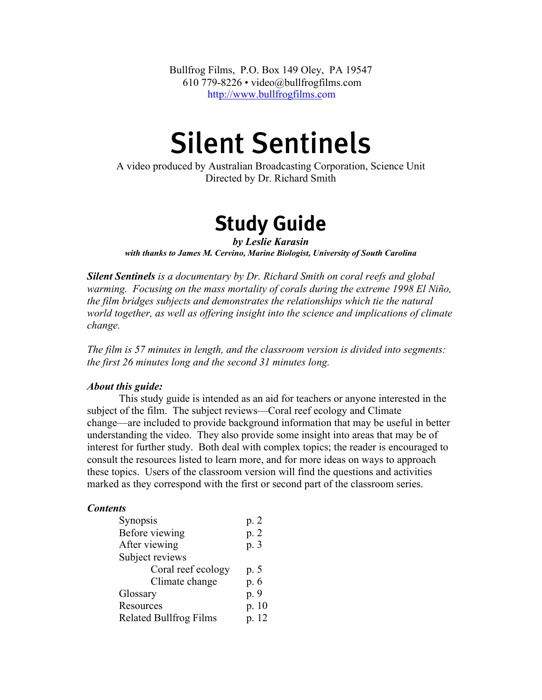Bullfrog Films, P.O. Box 149 Oley, PA 19547 610 779-8226 • video@bullfrogfilms.com http://[www.bullfrogfilms.com](http://www.bullfrogfilms.com)

# Silent Sentinels

A video produced by Australian Broadcasting Corporation, Science Unit Directed by Dr. Richard Smith

# **Study Guide**

*by Leslie Karasin with thanks to James M. Cervino, Marine Biologist, University of South Carolina*

*Silent Sentinels is a documentary by Dr. Richard Smith on coral reefs and global warming. Focusing on the mass mortality of corals during the extreme 1998 El Niño, the film bridges subjects and demonstrates the relationships which tie the natural world together, as well as offering insight into the science and implications of climate change.*

*The film is 57 minutes in length, and the classroom version is divided into segments: the first 26 minutes long and the second 31 minutes long.*

#### *About this guide:*

This study guide is intended as an aid for teachers or anyone interested in the subject of the film. The subject reviews—Coral reef ecology and Climate change—are included to provide background information that may be useful in better understanding the video. They also provide some insight into areas that may be of interest for further study. Both deal with complex topics; the reader is encouraged to consult the resources listed to learn more, and for more ideas on ways to approach these topics. Users of the classroom version will find the questions and activities marked as they correspond with the first or second part of the classroom series.

#### *Contents*

| Synopsis                      | p. 2 |
|-------------------------------|------|
| Before viewing                | p. 2 |
| After viewing                 | p. 3 |
| Subject reviews               |      |
| Coral reef ecology            | p. 5 |
| Climate change                | p. 6 |
| Glossary                      | p. 9 |
| Resources                     | p.10 |
| <b>Related Bullfrog Films</b> |      |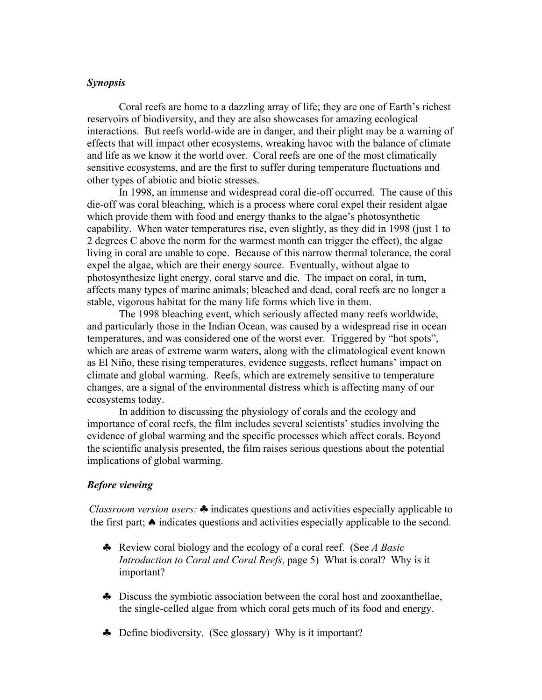#### *Synopsis*

Coral reefs are home to a dazzling array of life; they are one of Earth's richest reservoirs of biodiversity, and they are also showcases for amazing ecological interactions. But reefs world-wide are in danger, and their plight may be a warning of effects that will impact other ecosystems, wreaking havoc with the balance of climate and life as we know it the world over. Coral reefs are one of the most climatically sensitive ecosystems, and are the first to suffer during temperature fluctuations and other types of abiotic and biotic stresses.

In 1998, an immense and widespread coral die-off occurred. The cause of this die-off was coral bleaching, which is a process where coral expel their resident algae which provide them with food and energy thanks to the algae's photosynthetic capability. When water temperatures rise, even slightly, as they did in 1998 (just 1 to 2 degrees C above the norm for the warmest month can trigger the effect), the algae living in coral are unable to cope. Because of this narrow thermal tolerance, the coral expel the algae, which are their energy source. Eventually, without algae to photosynthesize light energy, coral starve and die. The impact on coral, in turn, affects many types of marine animals; bleached and dead, coral reefs are no longer a stable, vigorous habitat for the many life forms which live in them.

The 1998 bleaching event, which seriously affected many reefs worldwide, and particularly those in the Indian Ocean, was caused by a widespread rise in ocean temperatures, and was considered one of the worst ever. Triggered by "hot spots", which are areas of extreme warm waters, along with the climatological event known as El Niño, these rising temperatures, evidence suggests, reflect humans' impact on climate and global warming. Reefs, which are extremely sensitive to temperature changes, are a signal of the environmental distress which is affecting many of our ecosystems today.

In addition to discussing the physiology of corals and the ecology and importance of coral reefs, the film includes several scientists' studies involving the evidence of global warming and the specific processes which affect corals. Beyond the scientific analysis presented, the film raises serious questions about the potential implications of global warming.

#### *Before viewing*

*Classroom version users:* ♣ indicates questions and activities especially applicable to the first part; ♠ indicates questions and activities especially applicable to the second.

- ♣ Review coral biology and the ecology of a coral reef. (See *A Basic Introduction to Coral and Coral Reefs*, page 5) What is coral? Why is it important?
- ♣ Discuss the symbiotic association between the coral host and zooxanthellae, the single-celled algae from which coral gets much of its food and energy.
- ♣ Define biodiversity. (See glossary) Why is it important?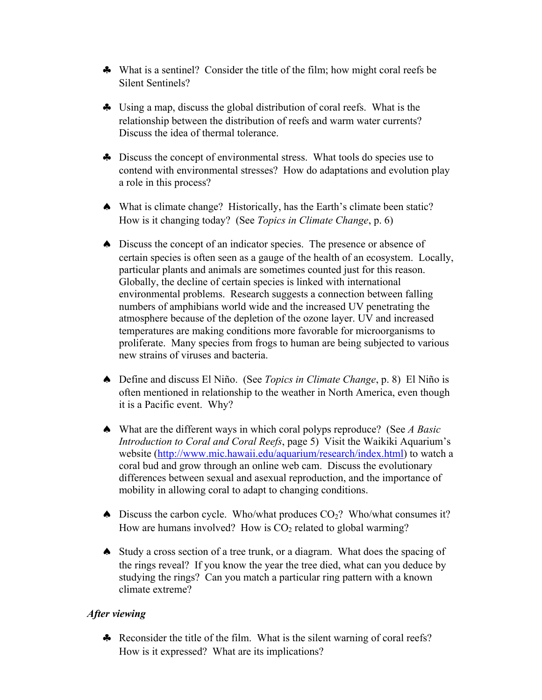- ♣ What is a sentinel? Consider the title of the film; how might coral reefs be Silent Sentinels?
- ♣ Using a map, discuss the global distribution of coral reefs. What is the relationship between the distribution of reefs and warm water currents? Discuss the idea of thermal tolerance.
- ♣ Discuss the concept of environmental stress. What tools do species use to contend with environmental stresses? How do adaptations and evolution play a role in this process?
- ♠What is climate change? Historically, has the Earth's climate been static? How is it changing today? (See *Topics in Climate Change*, p. 6)
- ♠ Discuss the concept of an indicator species. The presence or absence of certain species is often seen as a gauge of the health of an ecosystem. Locally, particular plants and animals are sometimes counted just for this reason. Globally, the decline of certain species is linked with international environmental problems. Research suggests a connection between falling numbers of amphibians world wide and the increased UV penetrating the atmosphere because of the depletion of the ozone layer. UV and increased temperatures are making conditions more favorable for microorganisms to proliferate. Many species from frogs to human are being subjected to various new strains of viruses and bacteria.
- ♠ Define and discuss El Niño. (See *Topics in Climate Change*, p. 8) El Niño is often mentioned in relationship to the weather in North America, even though it is a Pacific event. Why?
- ♠ What are the different ways in which coral polyps reproduce? (See *A Basic Introduction to Coral and Coral Reefs*, page 5) Visit the Waikiki Aquarium's website [\(http://www.mic.hawaii.edu/aquarium/research/index.html\)](http://www.mic.hawaii.edu/aquarium/research/index.html) to watch a coral bud and grow through an online web cam. Discuss the evolutionary differences between sexual and asexual reproduction, and the importance of mobility in allowing coral to adapt to changing conditions.
- $\triangle$  Discuss the carbon cycle. Who/what produces  $CO<sub>2</sub>$ ? Who/what consumes it? How are humans involved? How is  $CO<sub>2</sub>$  related to global warming?
- ♠ Study a cross section of a tree trunk, or a diagram. What does the spacing of the rings reveal? If you know the year the tree died, what can you deduce by studying the rings? Can you match a particular ring pattern with a known climate extreme?

# *After viewing*

♣ Reconsider the title of the film. What is the silent warning of coral reefs? How is it expressed? What are its implications?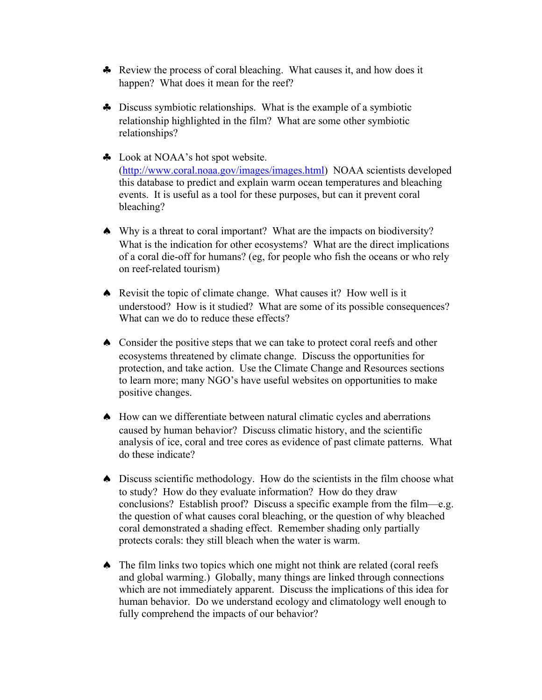- ♣ Review the process of coral bleaching. What causes it, and how does it happen? What does it mean for the reef?
- ♣ Discuss symbiotic relationships. What is the example of a symbiotic relationship highlighted in the film? What are some other symbiotic relationships?
- ♣ Look at NOAA's hot spot website. [\(http://www.coral.noaa.gov/images/images.html\)](http://www.coral.noaa.gov/images/images.html) NOAA scientists developed this database to predict and explain warm ocean temperatures and bleaching events. It is useful as a tool for these purposes, but can it prevent coral bleaching?
- ♠ Why is a threat to coral important? What are the impacts on biodiversity? What is the indication for other ecosystems? What are the direct implications of a coral die-off for humans? (eg, for people who fish the oceans or who rely on reef-related tourism)
- ♠ Revisit the topic of climate change. What causes it? How well is it understood? How is it studied? What are some of its possible consequences? What can we do to reduce these effects?
- ♠ Consider the positive steps that we can take to protect coral reefs and other ecosystems threatened by climate change. Discuss the opportunities for protection, and take action. Use the Climate Change and Resources sections to learn more; many NGO's have useful websites on opportunities to make positive changes.
- ♠ How can we differentiate between natural climatic cycles and aberrations caused by human behavior? Discuss climatic history, and the scientific analysis of ice, coral and tree cores as evidence of past climate patterns. What do these indicate?
- ♠ Discuss scientific methodology. How do the scientists in the film choose what to study? How do they evaluate information? How do they draw conclusions? Establish proof? Discuss a specific example from the film—e.g. the question of what causes coral bleaching, or the question of why bleached coral demonstrated a shading effect. Remember shading only partially protects corals: they still bleach when the water is warm.
- ♠ The film links two topics which one might not think are related (coral reefs and global warming.) Globally, many things are linked through connections which are not immediately apparent. Discuss the implications of this idea for human behavior. Do we understand ecology and climatology well enough to fully comprehend the impacts of our behavior?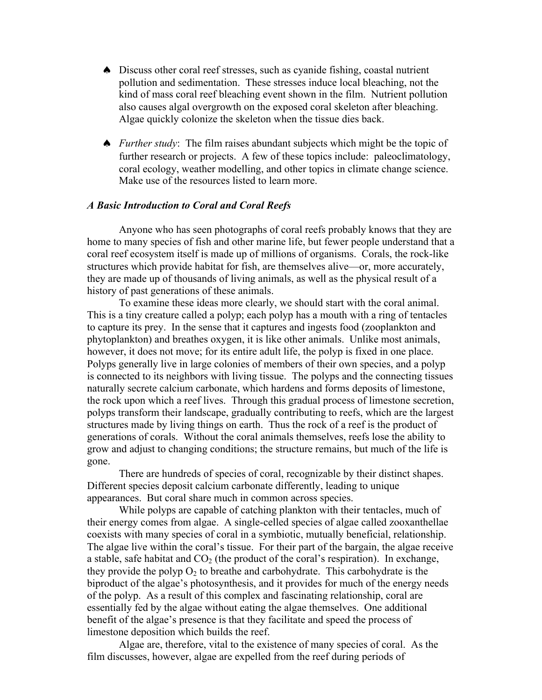- ♠ Discuss other coral reef stresses, such as cyanide fishing, coastal nutrient pollution and sedimentation. These stresses induce local bleaching, not the kind of mass coral reef bleaching event shown in the film. Nutrient pollution also causes algal overgrowth on the exposed coral skeleton after bleaching. Algae quickly colonize the skeleton when the tissue dies back.
- ♠ *Further study*: The film raises abundant subjects which might be the topic of further research or projects. A few of these topics include: paleoclimatology, coral ecology, weather modelling, and other topics in climate change science. Make use of the resources listed to learn more.

#### *A Basic Introduction to Coral and Coral Reefs*

Anyone who has seen photographs of coral reefs probably knows that they are home to many species of fish and other marine life, but fewer people understand that a coral reef ecosystem itself is made up of millions of organisms. Corals, the rock-like structures which provide habitat for fish, are themselves alive—or, more accurately, they are made up of thousands of living animals, as well as the physical result of a history of past generations of these animals.

To examine these ideas more clearly, we should start with the coral animal. This is a tiny creature called a polyp; each polyp has a mouth with a ring of tentacles to capture its prey. In the sense that it captures and ingests food (zooplankton and phytoplankton) and breathes oxygen, it is like other animals. Unlike most animals, however, it does not move; for its entire adult life, the polyp is fixed in one place. Polyps generally live in large colonies of members of their own species, and a polyp is connected to its neighbors with living tissue. The polyps and the connecting tissues naturally secrete calcium carbonate, which hardens and forms deposits of limestone, the rock upon which a reef lives. Through this gradual process of limestone secretion, polyps transform their landscape, gradually contributing to reefs, which are the largest structures made by living things on earth. Thus the rock of a reef is the product of generations of corals. Without the coral animals themselves, reefs lose the ability to grow and adjust to changing conditions; the structure remains, but much of the life is gone.

There are hundreds of species of coral, recognizable by their distinct shapes. Different species deposit calcium carbonate differently, leading to unique appearances. But coral share much in common across species.

While polyps are capable of catching plankton with their tentacles, much of their energy comes from algae. A single-celled species of algae called zooxanthellae coexists with many species of coral in a symbiotic, mutually beneficial, relationship. The algae live within the coral's tissue. For their part of the bargain, the algae receive a stable, safe habitat and  $CO<sub>2</sub>$  (the product of the coral's respiration). In exchange, they provide the polyp  $O_2$  to breathe and carbohydrate. This carbohydrate is the biproduct of the algae's photosynthesis, and it provides for much of the energy needs of the polyp. As a result of this complex and fascinating relationship, coral are essentially fed by the algae without eating the algae themselves. One additional benefit of the algae's presence is that they facilitate and speed the process of limestone deposition which builds the reef.

Algae are, therefore, vital to the existence of many species of coral. As the film discusses, however, algae are expelled from the reef during periods of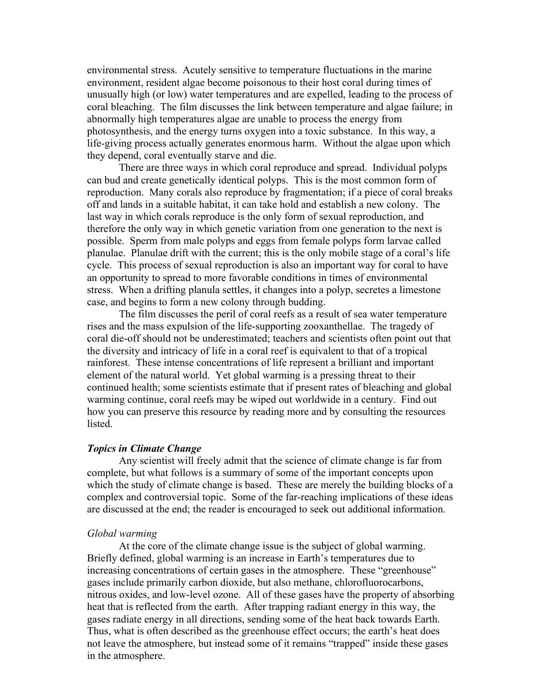environmental stress. Acutely sensitive to temperature fluctuations in the marine environment, resident algae become poisonous to their host coral during times of unusually high (or low) water temperatures and are expelled, leading to the process of coral bleaching. The film discusses the link between temperature and algae failure; in abnormally high temperatures algae are unable to process the energy from photosynthesis, and the energy turns oxygen into a toxic substance. In this way, a life-giving process actually generates enormous harm. Without the algae upon which they depend, coral eventually starve and die.

There are three ways in which coral reproduce and spread. Individual polyps can bud and create genetically identical polyps. This is the most common form of reproduction. Many corals also reproduce by fragmentation; if a piece of coral breaks off and lands in a suitable habitat, it can take hold and establish a new colony. The last way in which corals reproduce is the only form of sexual reproduction, and therefore the only way in which genetic variation from one generation to the next is possible. Sperm from male polyps and eggs from female polyps form larvae called planulae. Planulae drift with the current; this is the only mobile stage of a coral's life cycle. This process of sexual reproduction is also an important way for coral to have an opportunity to spread to more favorable conditions in times of environmental stress. When a drifting planula settles, it changes into a polyp, secretes a limestone case, and begins to form a new colony through budding.

The film discusses the peril of coral reefs as a result of sea water temperature rises and the mass expulsion of the life-supporting zooxanthellae. The tragedy of coral die-off should not be underestimated; teachers and scientists often point out that the diversity and intricacy of life in a coral reef is equivalent to that of a tropical rainforest. These intense concentrations of life represent a brilliant and important element of the natural world. Yet global warming is a pressing threat to their continued health; some scientists estimate that if present rates of bleaching and global warming continue, coral reefs may be wiped out worldwide in a century. Find out how you can preserve this resource by reading more and by consulting the resources listed.

#### *Topics in Climate Change*

Any scientist will freely admit that the science of climate change is far from complete, but what follows is a summary of some of the important concepts upon which the study of climate change is based. These are merely the building blocks of a complex and controversial topic. Some of the far-reaching implications of these ideas are discussed at the end; the reader is encouraged to seek out additional information.

#### *Global warming*

At the core of the climate change issue is the subject of global warming. Briefly defined, global warming is an increase in Earth's temperatures due to increasing concentrations of certain gases in the atmosphere. These "greenhouse" gases include primarily carbon dioxide, but also methane, chlorofluorocarbons, nitrous oxides, and low-level ozone. All of these gases have the property of absorbing heat that is reflected from the earth. After trapping radiant energy in this way, the gases radiate energy in all directions, sending some of the heat back towards Earth. Thus, what is often described as the greenhouse effect occurs; the earth's heat does not leave the atmosphere, but instead some of it remains "trapped" inside these gases in the atmosphere.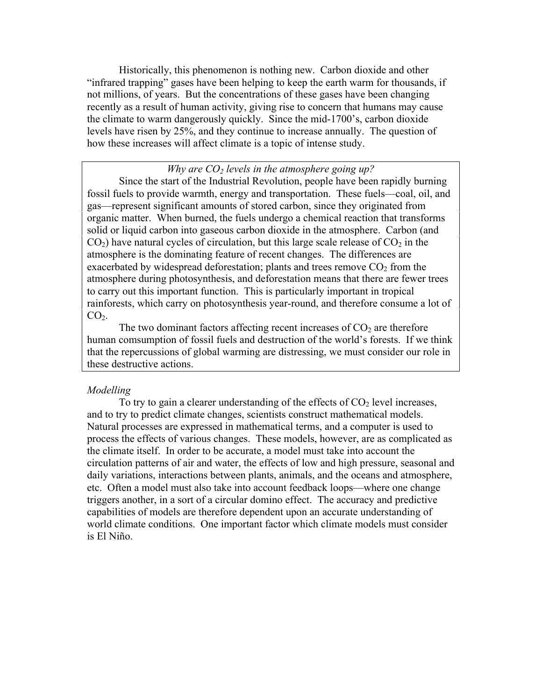Historically, this phenomenon is nothing new. Carbon dioxide and other "infrared trapping" gases have been helping to keep the earth warm for thousands, if not millions, of years. But the concentrations of these gases have been changing recently as a result of human activity, giving rise to concern that humans may cause the climate to warm dangerously quickly. Since the mid-1700's, carbon dioxide levels have risen by 25%, and they continue to increase annually. The question of how these increases will affect climate is a topic of intense study.

#### *Why are CO2 levels in the atmosphere going up?*

Since the start of the Industrial Revolution, people have been rapidly burning fossil fuels to provide warmth, energy and transportation. These fuels—coal, oil, and gas—represent significant amounts of stored carbon, since they originated from organic matter. When burned, the fuels undergo a chemical reaction that transforms solid or liquid carbon into gaseous carbon dioxide in the atmosphere. Carbon (and  $CO<sub>2</sub>$ ) have natural cycles of circulation, but this large scale release of  $CO<sub>2</sub>$  in the atmosphere is the dominating feature of recent changes. The differences are exacerbated by widespread deforestation; plants and trees remove  $CO<sub>2</sub>$  from the atmosphere during photosynthesis, and deforestation means that there are fewer trees to carry out this important function. This is particularly important in tropical rainforests, which carry on photosynthesis year-round, and therefore consume a lot of  $CO<sub>2</sub>$ .

The two dominant factors affecting recent increases of  $CO<sub>2</sub>$  are therefore human comsumption of fossil fuels and destruction of the world's forests. If we think that the repercussions of global warming are distressing, we must consider our role in these destructive actions.

#### *Modelling*

To try to gain a clearer understanding of the effects of  $CO<sub>2</sub>$  level increases, and to try to predict climate changes, scientists construct mathematical models. Natural processes are expressed in mathematical terms, and a computer is used to process the effects of various changes. These models, however, are as complicated as the climate itself. In order to be accurate, a model must take into account the circulation patterns of air and water, the effects of low and high pressure, seasonal and daily variations, interactions between plants, animals, and the oceans and atmosphere, etc. Often a model must also take into account feedback loops—where one change triggers another, in a sort of a circular domino effect. The accuracy and predictive capabilities of models are therefore dependent upon an accurate understanding of world climate conditions. One important factor which climate models must consider is El Niño.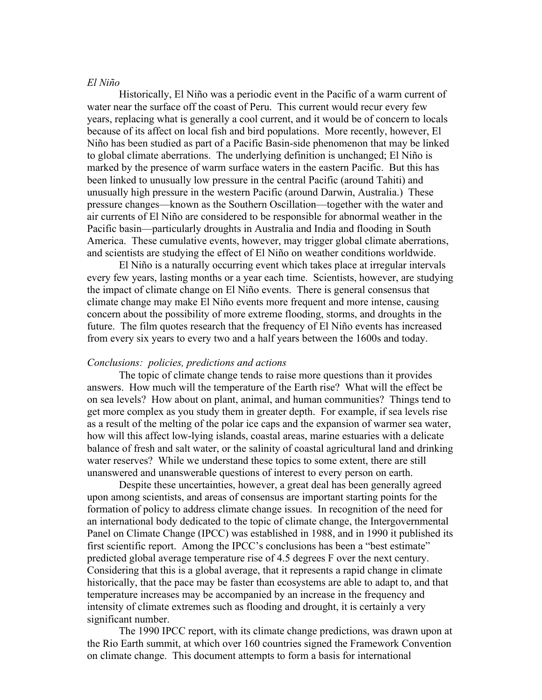# *El Niño*

Historically, El Niño was a periodic event in the Pacific of a warm current of water near the surface off the coast of Peru. This current would recur every few years, replacing what is generally a cool current, and it would be of concern to locals because of its affect on local fish and bird populations. More recently, however, El Niño has been studied as part of a Pacific Basin-side phenomenon that may be linked to global climate aberrations. The underlying definition is unchanged; El Niño is marked by the presence of warm surface waters in the eastern Pacific. But this has been linked to unusually low pressure in the central Pacific (around Tahiti) and unusually high pressure in the western Pacific (around Darwin, Australia.) These pressure changes—known as the Southern Oscillation—together with the water and air currents of El Niño are considered to be responsible for abnormal weather in the Pacific basin—particularly droughts in Australia and India and flooding in South America. These cumulative events, however, may trigger global climate aberrations, and scientists are studying the effect of El Niño on weather conditions worldwide.

El Niño is a naturally occurring event which takes place at irregular intervals every few years, lasting months or a year each time. Scientists, however, are studying the impact of climate change on El Niño events. There is general consensus that climate change may make El Niño events more frequent and more intense, causing concern about the possibility of more extreme flooding, storms, and droughts in the future. The film quotes research that the frequency of El Niño events has increased from every six years to every two and a half years between the 1600s and today.

#### *Conclusions: policies, predictions and actions*

The topic of climate change tends to raise more questions than it provides answers. How much will the temperature of the Earth rise? What will the effect be on sea levels? How about on plant, animal, and human communities? Things tend to get more complex as you study them in greater depth. For example, if sea levels rise as a result of the melting of the polar ice caps and the expansion of warmer sea water, how will this affect low-lying islands, coastal areas, marine estuaries with a delicate balance of fresh and salt water, or the salinity of coastal agricultural land and drinking water reserves? While we understand these topics to some extent, there are still unanswered and unanswerable questions of interest to every person on earth.

Despite these uncertainties, however, a great deal has been generally agreed upon among scientists, and areas of consensus are important starting points for the formation of policy to address climate change issues. In recognition of the need for an international body dedicated to the topic of climate change, the Intergovernmental Panel on Climate Change (IPCC) was established in 1988, and in 1990 it published its first scientific report. Among the IPCC's conclusions has been a "best estimate" predicted global average temperature rise of 4.5 degrees F over the next century. Considering that this is a global average, that it represents a rapid change in climate historically, that the pace may be faster than ecosystems are able to adapt to, and that temperature increases may be accompanied by an increase in the frequency and intensity of climate extremes such as flooding and drought, it is certainly a very significant number.

The 1990 IPCC report, with its climate change predictions, was drawn upon at the Rio Earth summit, at which over 160 countries signed the Framework Convention on climate change. This document attempts to form a basis for international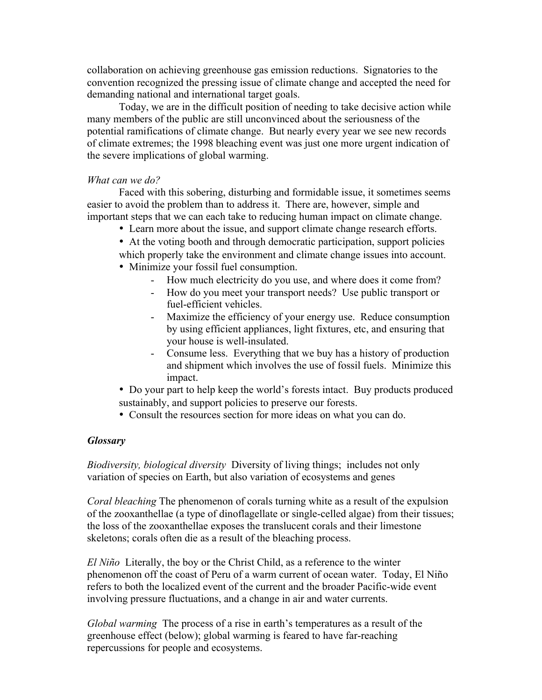collaboration on achieving greenhouse gas emission reductions. Signatories to the convention recognized the pressing issue of climate change and accepted the need for demanding national and international target goals.

Today, we are in the difficult position of needing to take decisive action while many members of the public are still unconvinced about the seriousness of the potential ramifications of climate change. But nearly every year we see new records of climate extremes; the 1998 bleaching event was just one more urgent indication of the severe implications of global warming.

#### *What can we do?*

Faced with this sobering, disturbing and formidable issue, it sometimes seems easier to avoid the problem than to address it. There are, however, simple and important steps that we can each take to reducing human impact on climate change.

- Learn more about the issue, and support climate change research efforts.
- At the voting booth and through democratic participation, support policies which properly take the environment and climate change issues into account.
- Minimize your fossil fuel consumption.
	- How much electricity do you use, and where does it come from?
	- How do you meet your transport needs? Use public transport or fuel-efficient vehicles.
	- Maximize the efficiency of your energy use. Reduce consumption by using efficient appliances, light fixtures, etc, and ensuring that your house is well-insulated.
	- Consume less. Everything that we buy has a history of production and shipment which involves the use of fossil fuels. Minimize this impact.

• Do your part to help keep the world's forests intact. Buy products produced sustainably, and support policies to preserve our forests.

• Consult the resources section for more ideas on what you can do.

# *Glossary*

*Biodiversity, biological diversity* Diversity of living things; includes not only variation of species on Earth, but also variation of ecosystems and genes

*Coral bleaching* The phenomenon of corals turning white as a result of the expulsion of the zooxanthellae (a type of dinoflagellate or single-celled algae) from their tissues; the loss of the zooxanthellae exposes the translucent corals and their limestone skeletons; corals often die as a result of the bleaching process.

*El Niño* Literally, the boy or the Christ Child, as a reference to the winter phenomenon off the coast of Peru of a warm current of ocean water. Today, El Niño refers to both the localized event of the current and the broader Pacific-wide event involving pressure fluctuations, and a change in air and water currents.

*Global warming* The process of a rise in earth's temperatures as a result of the greenhouse effect (below); global warming is feared to have far-reaching repercussions for people and ecosystems.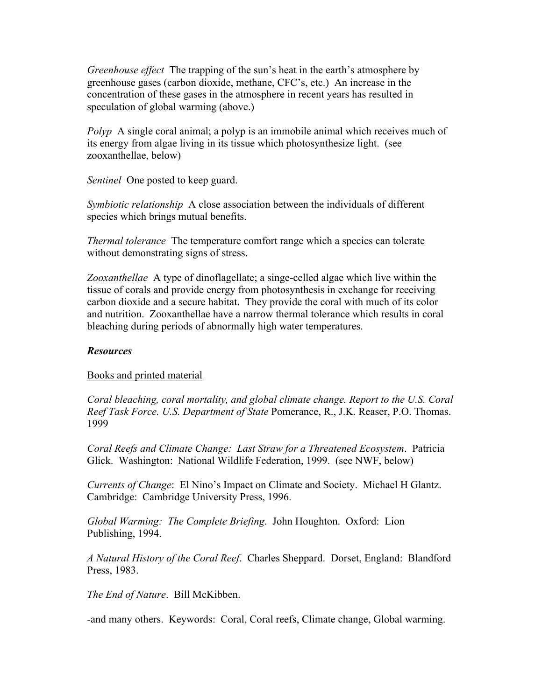*Greenhouse effect* The trapping of the sun's heat in the earth's atmosphere by greenhouse gases (carbon dioxide, methane, CFC's, etc.) An increase in the concentration of these gases in the atmosphere in recent years has resulted in speculation of global warming (above.)

*Polyp* A single coral animal; a polyp is an immobile animal which receives much of its energy from algae living in its tissue which photosynthesize light. (see zooxanthellae, below)

*Sentinel* One posted to keep guard.

*Symbiotic relationship* A close association between the individuals of different species which brings mutual benefits.

*Thermal tolerance* The temperature comfort range which a species can tolerate without demonstrating signs of stress.

*Zooxanthellae* A type of dinoflagellate; a singe-celled algae which live within the tissue of corals and provide energy from photosynthesis in exchange for receiving carbon dioxide and a secure habitat. They provide the coral with much of its color and nutrition. Zooxanthellae have a narrow thermal tolerance which results in coral bleaching during periods of abnormally high water temperatures.

# *Resources*

# Books and printed material

*Coral bleaching, coral mortality, and global climate change. Report to the U.S. Coral Reef Task Force. U.S. Department of State* Pomerance, R., J.K. Reaser, P.O. Thomas. 1999

*Coral Reefs and Climate Change: Last Straw for a Threatened Ecosystem*. Patricia Glick. Washington: National Wildlife Federation, 1999. (see NWF, below)

*Currents of Change*: El Nino's Impact on Climate and Society. Michael H Glantz. Cambridge: Cambridge University Press, 1996.

*Global Warming: The Complete Briefing*. John Houghton. Oxford: Lion Publishing, 1994.

*A Natural History of the Coral Reef*. Charles Sheppard. Dorset, England: Blandford Press, 1983.

*The End of Nature*. Bill McKibben.

-and many others. Keywords: Coral, Coral reefs, Climate change, Global warming.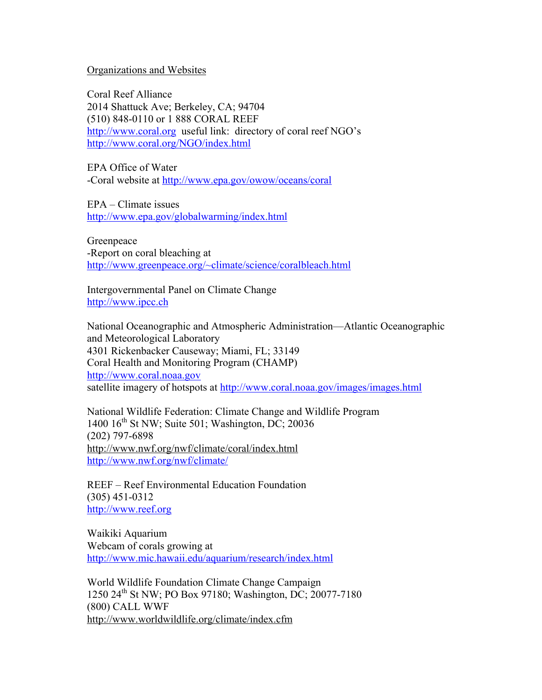# Organizations and Websites

Coral Reef Alliance 2014 Shattuck Ave; Berkeley, CA; 94704 (510) 848-0110 or 1 888 CORAL REEF <http://www.coral.org> useful link: directory of coral reef NGO's <http://www.coral.org/NGO/index.html>

EPA Office of Water -Coral website at<http://www.epa.gov/owow/oceans/coral>

EPA – Climate issues <http://www.epa.gov/globalwarming/index.html>

Greenpeace -Report on coral bleaching at <http://www.greenpeace.org/~climate/science/coralbleach.html>

Intergovernmental Panel on Climate Change <http://www.ipcc.ch>

National Oceanographic and Atmospheric Administration—Atlantic Oceanographic and Meteorological Laboratory 4301 Rickenbacker Causeway; Miami, FL; 33149 Coral Health and Monitoring Program (CHAMP) <http://www.coral.noaa.gov> satellite imagery of hotspots at <http://www.coral.noaa.gov/images/images.html>

National Wildlife Federation: Climate Change and Wildlife Program 1400 16<sup>th</sup> St NW; Suite 501; Washington, DC; 20036 (202) 797-6898 <http://www.nwf.org/nwf/climate/coral/index.html> <http://www.nwf.org/nwf/climate/>

REEF – Reef Environmental Education Foundation (305) 451-0312 <http://www.reef.org>

Waikiki Aquarium Webcam of corals growing at <http://www.mic.hawaii.edu/aquarium/research/index.html>

World Wildlife Foundation Climate Change Campaign 1250 24th St NW; PO Box 97180; Washington, DC; 20077-7180 (800) CALL WWF <http://www.worldwildlife.org/climate/index.cfm>